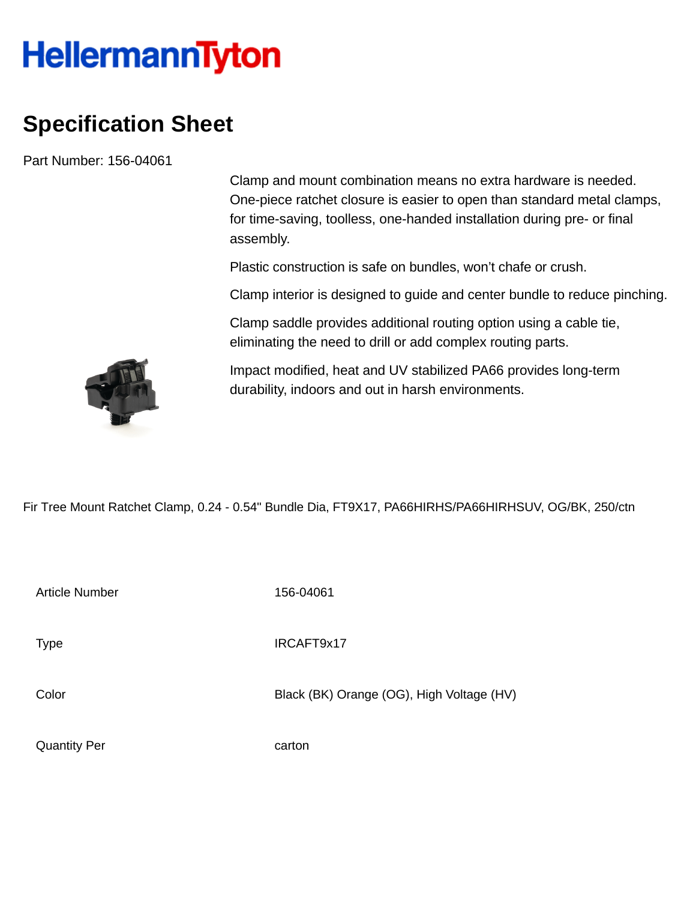## **HellermannTyton**

## **Specification Sheet**

Part Number: 156-04061

Clamp and mount combination means no extra hardware is needed. One-piece ratchet closure is easier to open than standard metal clamps, for time-saving, toolless, one-handed installation during pre- or final assembly.

Plastic construction is safe on bundles, won't chafe or crush.

Clamp interior is designed to guide and center bundle to reduce pinching.

Clamp saddle provides additional routing option using a cable tie, eliminating the need to drill or add complex routing parts.

Impact modified, heat and UV stabilized PA66 provides long-term durability, indoors and out in harsh environments.

Fir Tree Mount Ratchet Clamp, 0.24 - 0.54" Bundle Dia, FT9X17, PA66HIRHS/PA66HIRHSUV, OG/BK, 250/ctn

| <b>Article Number</b> | 156-04061                                 |
|-----------------------|-------------------------------------------|
| <b>Type</b>           | IRCAFT9x17                                |
| Color                 | Black (BK) Orange (OG), High Voltage (HV) |
| <b>Quantity Per</b>   | carton                                    |

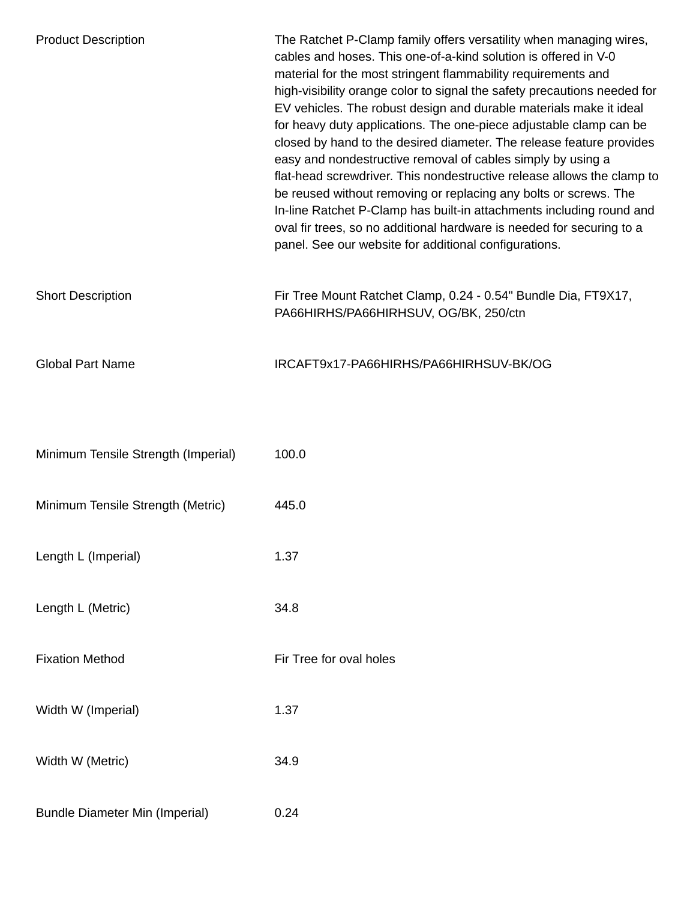| <b>Product Description</b>            | The Ratchet P-Clamp family offers versatility when managing wires,<br>cables and hoses. This one-of-a-kind solution is offered in V-0<br>material for the most stringent flammability requirements and<br>high-visibility orange color to signal the safety precautions needed for<br>EV vehicles. The robust design and durable materials make it ideal<br>for heavy duty applications. The one-piece adjustable clamp can be<br>closed by hand to the desired diameter. The release feature provides<br>easy and nondestructive removal of cables simply by using a<br>flat-head screwdriver. This nondestructive release allows the clamp to<br>be reused without removing or replacing any bolts or screws. The<br>In-line Ratchet P-Clamp has built-in attachments including round and<br>oval fir trees, so no additional hardware is needed for securing to a<br>panel. See our website for additional configurations. |
|---------------------------------------|-------------------------------------------------------------------------------------------------------------------------------------------------------------------------------------------------------------------------------------------------------------------------------------------------------------------------------------------------------------------------------------------------------------------------------------------------------------------------------------------------------------------------------------------------------------------------------------------------------------------------------------------------------------------------------------------------------------------------------------------------------------------------------------------------------------------------------------------------------------------------------------------------------------------------------|
| <b>Short Description</b>              | Fir Tree Mount Ratchet Clamp, 0.24 - 0.54" Bundle Dia, FT9X17,<br>PA66HIRHS/PA66HIRHSUV, OG/BK, 250/ctn                                                                                                                                                                                                                                                                                                                                                                                                                                                                                                                                                                                                                                                                                                                                                                                                                       |
| <b>Global Part Name</b>               | IRCAFT9x17-PA66HIRHS/PA66HIRHSUV-BK/OG                                                                                                                                                                                                                                                                                                                                                                                                                                                                                                                                                                                                                                                                                                                                                                                                                                                                                        |
| Minimum Tensile Strength (Imperial)   | 100.0                                                                                                                                                                                                                                                                                                                                                                                                                                                                                                                                                                                                                                                                                                                                                                                                                                                                                                                         |
| Minimum Tensile Strength (Metric)     | 445.0                                                                                                                                                                                                                                                                                                                                                                                                                                                                                                                                                                                                                                                                                                                                                                                                                                                                                                                         |
| Length L (Imperial)                   | 1.37                                                                                                                                                                                                                                                                                                                                                                                                                                                                                                                                                                                                                                                                                                                                                                                                                                                                                                                          |
| Length L (Metric)                     | 34.8                                                                                                                                                                                                                                                                                                                                                                                                                                                                                                                                                                                                                                                                                                                                                                                                                                                                                                                          |
| <b>Fixation Method</b>                | Fir Tree for oval holes                                                                                                                                                                                                                                                                                                                                                                                                                                                                                                                                                                                                                                                                                                                                                                                                                                                                                                       |
| Width W (Imperial)                    | 1.37                                                                                                                                                                                                                                                                                                                                                                                                                                                                                                                                                                                                                                                                                                                                                                                                                                                                                                                          |
| Width W (Metric)                      | 34.9                                                                                                                                                                                                                                                                                                                                                                                                                                                                                                                                                                                                                                                                                                                                                                                                                                                                                                                          |
| <b>Bundle Diameter Min (Imperial)</b> | 0.24                                                                                                                                                                                                                                                                                                                                                                                                                                                                                                                                                                                                                                                                                                                                                                                                                                                                                                                          |